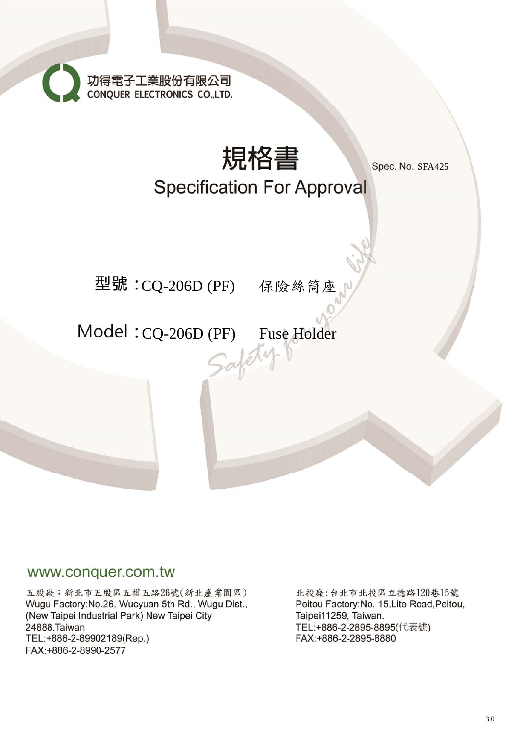功得電子工業股份有限公司<br>CONQUER ELECTRONICS CO.,LTD.



## www.conquer.com.tw

五股廠:新北市五股區五權五路26號(新北產業園區) Wugu Factory: No.26, Wucyuan 5th Rd., Wugu Dist., (New Taipei Industrial Park) New Taipei City 24888, Taiwan TEL:+886-2-89902189(Rep.) FAX:+886-2-8990-2577

北投廠:台北市北投區立德路120巷15號 Peitou Factory: No. 15, Lite Road, Peitou, Taipei11259, Taiwan. TEL:+886-2-2895-8895(代表號) FAX:+886-2-2895-8880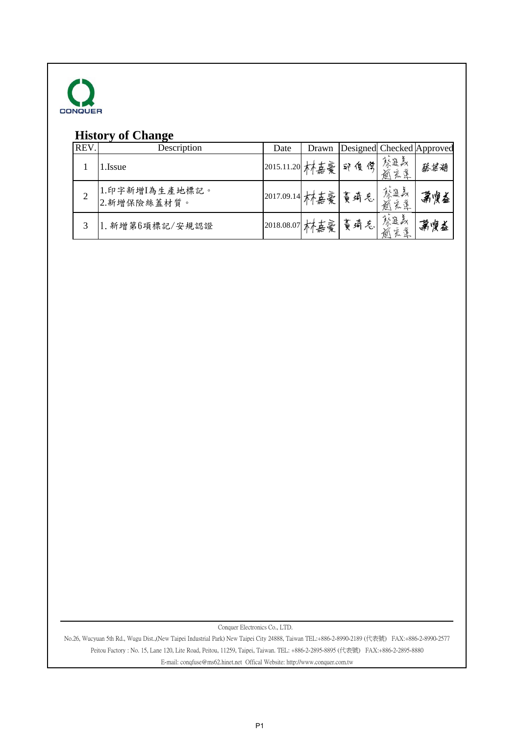![](_page_1_Picture_0.jpeg)

## **History of Change**

| REV. | Description                   | Date            | Drawn |       |                | Designed Checked Approved |
|------|-------------------------------|-----------------|-------|-------|----------------|---------------------------|
|      | .Issue                        | 2015.11.20  木嘉豪 |       | 印度供   | 發進義<br>系漢<br>逾 | 蔡基湖                       |
|      | 1.印字新增I為生產地標記。<br>2.新增保險絲蓋材質。 | 2017.09.14 林嘉豪  |       | 黄琦气   | 察進義<br>家莲<br>逾 | 第烫益                       |
|      | 1. 新增第6項標記/安規認證               | 2018.08.07 木善豪  |       | 黃琦 气. | 祭進義<br>系漢<br>逾 | 萧廋益                       |

Conquer Electronics Co., LTD.

No.26, Wucyuan 5th Rd., Wugu Dist.,(New Taipei Industrial Park) New Taipei City 24888, Taiwan TEL:+886-2-8990-2189 (代表號) FAX:+886-2-8990-2577 Peitou Factory : No. 15, Lane 120, Lite Road, Peitou, 11259, Taipei, Taiwan. TEL: +886-2-2895-8895 (代表號) FAX:+886-2-2895-8880 E-mail: conqfuse@ms62.hinet.net Offical Website: http://www.conquer.com.tw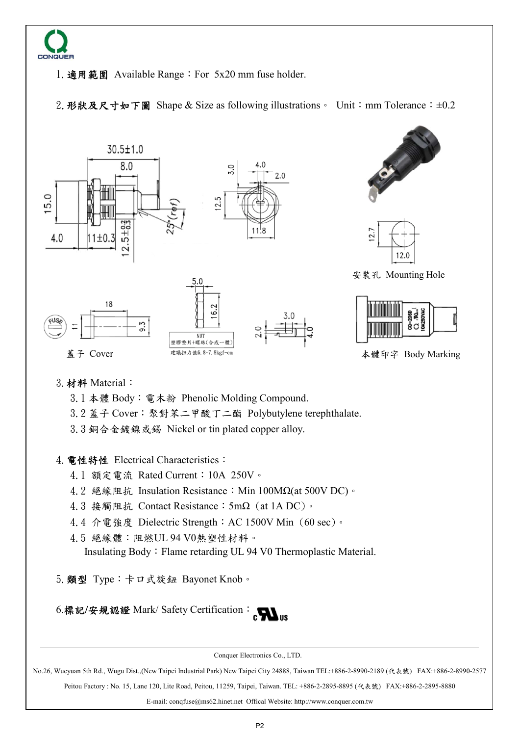![](_page_2_Picture_0.jpeg)

1.適用範圍 Available Range:For 5x20 mm fuse holder.

2. 形狀及尺寸如下圖 Shape & Size as following illustrations。 Unit: mm Tolerance: ±0.2

![](_page_2_Figure_3.jpeg)

3.材料 Material:

3.1 本體 Body:電木粉 Phenolic Molding Compound.

3.2 蓋子 Cover:聚對苯二甲酸丁二酯 Polybutylene terephthalate.

3.3 銅合金鍍鎳或錫 Nickel or tin plated copper alloy.

4. 電性特性 Electrical Characteristics:

- 4.1 額定電流 Rated Current:10A 250V。
- 4.2 絕緣阻抗 Insulation Resistance: Min 100MΩ(at 500V DC)。
- 4.3 接觸阻抗 Contact Resistance:5mΩ (at 1A DC)。
- 4.4 介電強度 Dielectric Strength:AC 1500V Min (60 sec)。
- 4.5 絕緣體:阻燃UL 94 V0熱塑性材料。 Insulating Body:Flame retarding UL 94 V0 Thermoplastic Material.

5.類型 Type:卡口式旋鈕 Bayonet Knob。

6.標記/安規認證 Mark/ Safety Certification: CWus

Conquer Electronics Co., LTD.

No.26, Wucyuan 5th Rd., Wugu Dist.,(New Taipei Industrial Park) New Taipei City 24888, Taiwan TEL:+886-2-8990-2189 (代表號) FAX:+886-2-8990-2577

Peitou Factory : No. 15, Lane 120, Lite Road, Peitou, 11259, Taipei, Taiwan. TEL: +886-2-2895-8895 (代表號) FAX:+886-2-2895-8880

E-mail: conqfuse@ms62.hinet.net Offical Website: http://www.conquer.com.tw